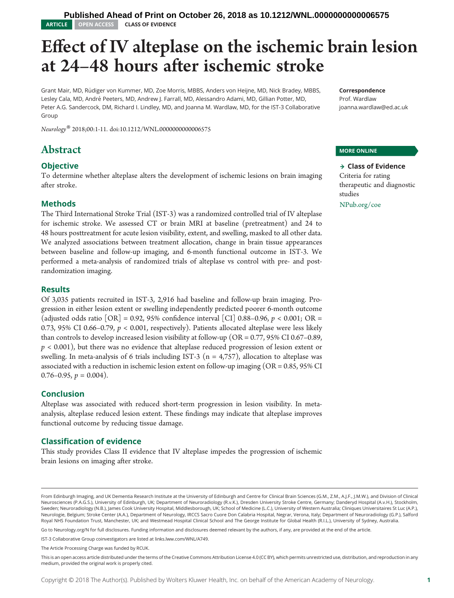# Effect of IV alteplase on the ischemic brain lesion at 24–48 hours after ischemic stroke

Grant Mair, MD, Rudiger von Kummer, MD, Zoe Morris, MBBS, Anders von Heijne, MD, Nick Bradey, MBBS, ¨ Lesley Cala, MD, André Peeters, MD, Andrew J. Farrall, MD, Alessandro Adami, MD, Gillian Potter, MD, Peter A.G. Sandercock, DM, Richard I. Lindley, MD, and Joanna M. Wardlaw, MD, for the IST-3 Collaborative Group

Neurology® 2018;00:1-11. doi:[10.1212/WNL.0000000000006575](http://dx.doi.org/10.1212/WNL.0000000000006575)

# Abstract

## **Objective**

To determine whether alteplase alters the development of ischemic lesions on brain imaging after stroke.

#### Methods

The Third International Stroke Trial (IST-3) was a randomized controlled trial of IV alteplase for ischemic stroke. We assessed CT or brain MRI at baseline (pretreatment) and 24 to 48 hours posttreatment for acute lesion visibility, extent, and swelling, masked to all other data. We analyzed associations between treatment allocation, change in brain tissue appearances between baseline and follow-up imaging, and 6-month functional outcome in IST-3. We performed a meta-analysis of randomized trials of alteplase vs control with pre- and postrandomization imaging.

#### Results

Of 3,035 patients recruited in IST-3, 2,916 had baseline and follow-up brain imaging. Progression in either lesion extent or swelling independently predicted poorer 6-month outcome (adjusted odds ratio  $[OR] = 0.92$ , 95% confidence interval  $[CI]$  0.88–0.96, p < 0.001; OR = 0.73, 95% CI 0.66–0.79, p < 0.001, respectively). Patients allocated alteplase were less likely than controls to develop increased lesion visibility at follow-up ( $OR = 0.77$ ,  $95\%$  CI 0.67–0.89,  $p < 0.001$ ), but there was no evidence that alteplase reduced progression of lesion extent or swelling. In meta-analysis of 6 trials including IST-3 ( $n = 4,757$ ), allocation to alteplase was associated with a reduction in ischemic lesion extent on follow-up imaging (OR = 0.85, 95% CI  $0.76-0.95$ ,  $p = 0.004$ ).

#### Conclusion

Alteplase was associated with reduced short-term progression in lesion visibility. In metaanalysis, alteplase reduced lesion extent. These findings may indicate that alteplase improves functional outcome by reducing tissue damage.

#### Classification of evidence

This study provides Class II evidence that IV alteplase impedes the progression of ischemic brain lesions on imaging after stroke.

Prof. Wardlaw [joanna.wardlaw@ed.ac.uk](mailto:joanna.wardlaw@ed.ac.uk)

#### MORE ONLINE

 $\rightarrow$  Class of Evidence Criteria for rating therapeutic and diagnostic studies [NPub.org/coe](http://www.NPub.org/coe)

Go to [Neurology.org/N](http://n.neurology.org/lookup/doi/10.1212/WNL.0000000000006575) for full disclosures. Funding information and disclosures deemed relevant by the authors, if any, are provided at the end of the article.

IST-3 Collaborative Group coinvestigators are listed at [links.lww.com/WNL/A749.](http://links.lww.com/WNL/A749)

Correspondence

From Edinburgh Imaging, and UK Dementia Research Institute at the University of Edinburgh and Centre for Clinical Brain Sciences (G.M., Z.M., A.J.F., J.M.W.), and Division of Clinical Neurosciences (P.A.G.S.), University of Edinburgh, UK; Department of Neuroradiology (R.v.K.), Dresden University Stroke Centre, Germany; Danderyd Hospital (A.v.H.), Stockholm, Sweden; Neuroradiology (N.B.), James Cook University Hospital, Middlesborough, UK; School of Medicine (L.C.), University of Western Australia; Cliniques Universitaires St Luc (A.P.), Neurologie, Belgium; Stroke Center (A.A.), Department of Neurology, IRCCS Sacro Cuore Don Calabria Hospital, Negrar, Verona, Italy; Department of Neuroradiology (G.P.), Salford Royal NHS Foundation Trust, Manchester, UK; and Westmead Hospital Clinical School and The George Institute for Global Health (R.I.L.), University of Sydney, Australia.

The Article Processing Charge was funded by RCUK.

This is an open access article distributed under the terms of the [Creative Commons Attribution License 4.0 \(CC BY\),](http://creativecommons.org/licenses/by/4.0/) which permits unrestricted use, distribution, and reproduction in any medium, provided the original work is properly cited.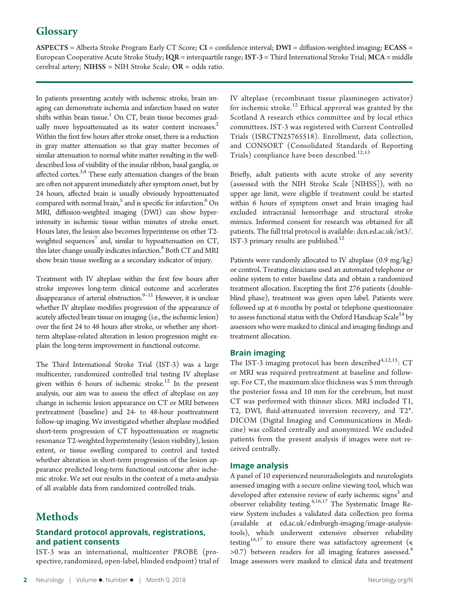# **Glossary**

ASPECTS = Alberta Stroke Program Early CT Score; CI = confidence interval; DWI = diffusion-weighted imaging; ECASS = European Cooperative Acute Stroke Study; IQR = interquartile range; IST-3 = Third International Stroke Trial; MCA = middle cerebral artery; NIHSS = NIH Stroke Scale; OR = odds ratio.

In patients presenting acutely with ischemic stroke, brain imaging can demonstrate ischemia and infarction based on water shifts within brain tissue.<sup>1</sup> On CT, brain tissue becomes gradually more hypoattenuated as its water content increases.<sup>2</sup> Within the first few hours after stroke onset, there is a reduction in gray matter attenuation so that gray matter becomes of similar attenuation to normal white matter resulting in the welldescribed loss of visibility of the insular ribbon, basal ganglia, or affected cortex.<sup>3,4</sup> These early attenuation changes of the brain are often not apparent immediately after symptom onset, but by 24 hours, affected brain is usually obviously hypoattenuated compared with normal brain,<sup>5</sup> and is specific for infarction.<sup>6</sup> On MRI, diffusion-weighted imaging (DWI) can show hyperintensity in ischemic tissue within minutes of stroke onset. Hours later, the lesion also becomes hyperintense on other T2 weighted sequences<sup>7</sup> and, similar to hypoattenuation on CT, this later change usually indicates infarction.<sup>8</sup> Both CT and MRI show brain tissue swelling as a secondary indicator of injury.

Treatment with IV alteplase within the first few hours after stroke improves long-term clinical outcome and accelerates disappearance of arterial obstruction.<sup>9-11</sup> However, it is unclear whether IV alteplase modifies progression of the appearance of acutely affected brain tissue on imaging (i.e., the ischemic lesion) over the first 24 to 48 hours after stroke, or whether any shortterm alteplase-related alteration in lesion progression might explain the long-term improvement in functional outcome.

The Third International Stroke Trial (IST-3) was a large multicenter, randomized controlled trial testing IV alteplase given within 6 hours of ischemic stroke.<sup>12</sup> In the present analysis, our aim was to assess the effect of alteplase on any change in ischemic lesion appearance on CT or MRI between pretreatment (baseline) and 24- to 48-hour posttreatment follow-up imaging. We investigated whether alteplase modified short-term progression of CT hypoattenuation or magnetic resonance T2-weighted hyperintensity (lesion visibility), lesion extent, or tissue swelling compared to control and tested whether alteration in short-term progression of the lesion appearance predicted long-term functional outcome after ischemic stroke. We set our results in the context of a meta-analysis of all available data from randomized controlled trials.

# **Methods**

## Standard protocol approvals, registrations, and patient consents

IST-3 was an international, multicenter PROBE (prospective, randomized, open-label, blinded endpoint) trial of IV alteplase (recombinant tissue plasminogen activator) for ischemic stroke.<sup>12</sup> Ethical approval was granted by the Scotland A research ethics committee and by local ethics committees. IST-3 was registered with Current Controlled Trials (ISRCTN25765518). Enrollment, data collection, and CONSORT (Consolidated Standards of Reporting Trials) compliance have been described.<sup>12,13</sup>

Briefly, adult patients with acute stroke of any severity (assessed with the NIH Stroke Scale [NIHSS]), with no upper age limit, were eligible if treatment could be started within 6 hours of symptom onset and brain imaging had excluded intracranial hemorrhage and structural stroke mimics. Informed consent for research was obtained for all patients. The full trial protocol is available: [dcn.ed.ac.uk/ist3/](http://www.dcn.ed.ac.uk/ist3/). IST-3 primary results are published. $12$ 

Patients were randomly allocated to IV alteplase (0.9 mg/kg) or control. Treating clinicians used an automated telephone or online system to enter baseline data and obtain a randomized treatment allocation. Excepting the first 276 patients (doubleblind phase), treatment was given open label. Patients were followed up at 6 months by postal or telephone questionnaire to assess functional status with the Oxford Handicap Scale<sup>14</sup> by assessors who were masked to clinical and imaging findings and treatment allocation.

#### Brain imaging

The IST-3 imaging protocol has been described $4,12,15$ : CT or MRI was required pretreatment at baseline and followup. For CT, the maximum slice thickness was 5 mm through the posterior fossa and 10 mm for the cerebrum, but most CT was performed with thinner slices. MRI included T1, T2, DWI, fluid-attenuated inversion recovery, and T2\*. DICOM (Digital Imaging and Communications in Medicine) was collated centrally and anonymized. We excluded patients from the present analysis if images were not received centrally.

#### Image analysis

A panel of 10 experienced neuroradiologists and neurologists assessed imaging with a secure online viewing tool, which was developed after extensive review of early ischemic signs<sup>3</sup> and observer reliability testing.4,16,17 The Systematic Image Review System includes a validated data collection pro forma (available at [ed.ac.uk/edinburgh-imaging/image-analysis](http://www.ed.ac.uk/edinburgh-imaging/image-analysis-tools)[tools](http://www.ed.ac.uk/edinburgh-imaging/image-analysis-tools)), which underwent extensive observer reliability testing<sup>16,17</sup> to ensure there was satisfactory agreement ( $\kappa$ >0.7) between readers for all imaging features assessed.<sup>4</sup> Image assessors were masked to clinical data and treatment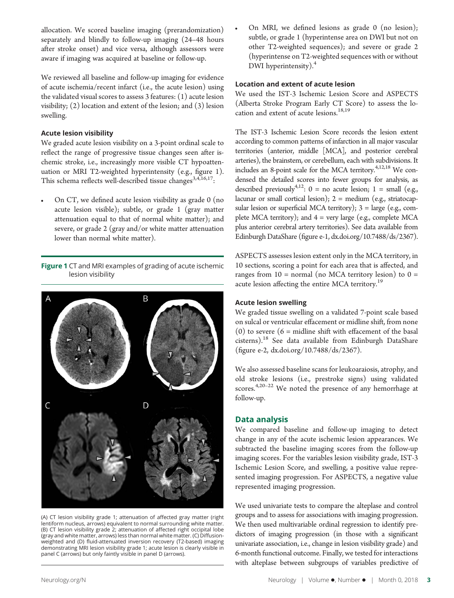allocation. We scored baseline imaging (prerandomization) separately and blindly to follow-up imaging (24–48 hours after stroke onset) and vice versa, although assessors were aware if imaging was acquired at baseline or follow-up.

We reviewed all baseline and follow-up imaging for evidence of acute ischemia/recent infarct (i.e., the acute lesion) using the validated visual scores to assess 3 features: (1) acute lesion visibility; (2) location and extent of the lesion; and (3) lesion swelling.

#### Acute lesion visibility

We graded acute lesion visibility on a 3-point ordinal scale to reflect the range of progressive tissue changes seen after ischemic stroke, i.e., increasingly more visible CT hypoattenuation or MRI T2-weighted hyperintensity (e.g., figure 1). This schema reflects well-described tissue changes<sup>3,4,16,17</sup>:

On CT, we defined acute lesion visibility as grade 0 (no acute lesion visible); subtle, or grade 1 (gray matter attenuation equal to that of normal white matter); and severe, or grade 2 (gray and/or white matter attenuation lower than normal white matter).

Figure 1 CT and MRI examples of grading of acute ischemic lesion visibility



(A) CT lesion visibility grade 1; attenuation of affected gray matter (right lentiform nucleus, arrows) equivalent to normal surrounding white matter. (B) CT lesion visibility grade 2; attenuation of affected right occipital lobe (gray and white matter, arrows) less than normal white matter. (C) Diffusionweighted and (D) fluid-attenuated inversion recovery (T2-based) imaging demonstrating MRI lesion visibility grade 1; acute lesion is clearly visible in panel C (arrows) but only faintly visible in panel D (arrows).

On MRI, we defined lesions as grade 0 (no lesion); subtle, or grade 1 (hyperintense area on DWI but not on other T2-weighted sequences); and severe or grade 2 (hyperintense on T2-weighted sequences with or without DWI hyperintensity).<sup>4</sup>

#### Location and extent of acute lesion

We used the IST-3 Ischemic Lesion Score and ASPECTS (Alberta Stroke Program Early CT Score) to assess the location and extent of acute lesions.<sup>18,19</sup>

The IST-3 Ischemic Lesion Score records the lesion extent according to common patterns of infarction in all major vascular territories (anterior, middle [MCA], and posterior cerebral arteries), the brainstem, or cerebellum, each with subdivisions. It includes an 8-point scale for the MCA territory.<sup>4,12,18</sup> We condensed the detailed scores into fewer groups for analysis, as described previously<sup>4,12</sup>:  $0 =$  no acute lesion;  $1 =$  small (e.g., lacunar or small cortical lesion);  $2 = \text{medium (e.g., striatocap--}$ sular lesion or superficial MCA territory);  $3 = \text{large}$  (e.g., complete MCA territory); and  $4 = \text{very large}$  (e.g., complete MCA plus anterior cerebral artery territories). See data available from Edinburgh DataShare (figure e-1, [dx.doi.org/10.7488/ds/2367\).](http://dx.doi.org/10.7488/ds/2367)

ASPECTS assesses lesion extent only in the MCA territory, in 10 sections, scoring a point for each area that is affected, and ranges from  $10 =$  normal (no MCA territory lesion) to  $0 =$ acute lesion affecting the entire MCA territory.<sup>19</sup>

#### Acute lesion swelling

We graded tissue swelling on a validated 7-point scale based on sulcal or ventricular effacement or midline shift, from none (0) to severe  $(6 = \text{middle shift with effacement of the basal})$ cisterns).<sup>18</sup> See data available from Edinburgh DataShare (figure e-2, [dx.doi.org/10.7488/ds/2367](http://dx.doi.org/10.7488/ds/2367)).

We also assessed baseline scans for leukoaraiosis, atrophy, and old stroke lesions (i.e., prestroke signs) using validated scores.<sup>4,20-22</sup> We noted the presence of any hemorrhage at follow-up.

#### Data analysis

We compared baseline and follow-up imaging to detect change in any of the acute ischemic lesion appearances. We subtracted the baseline imaging scores from the follow-up imaging scores. For the variables lesion visibility grade, IST-3 Ischemic Lesion Score, and swelling, a positive value represented imaging progression. For ASPECTS, a negative value represented imaging progression.

We used univariate tests to compare the alteplase and control groups and to assess for associations with imaging progression. We then used multivariable ordinal regression to identify predictors of imaging progression (in those with a significant univariate association, i.e., change in lesion visibility grade) and 6-month functional outcome. Finally, we tested for interactions with alteplase between subgroups of variables predictive of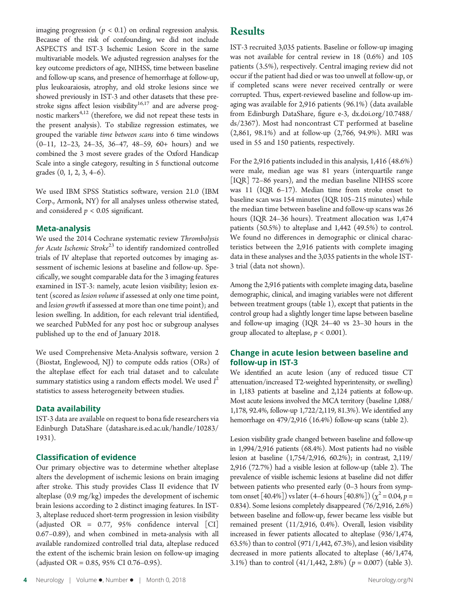imaging progression ( $p < 0.1$ ) on ordinal regression analysis. Because of the risk of confounding, we did not include ASPECTS and IST-3 Ischemic Lesion Score in the same multivariable models. We adjusted regression analyses for the key outcome predictors of age, NIHSS, time between baseline and follow-up scans, and presence of hemorrhage at follow-up, plus leukoaraiosis, atrophy, and old stroke lesions since we showed previously in IST-3 and other datasets that these prestroke signs affect lesion visibility<sup>16,17</sup> and are adverse prognostic markers $4,12$  (therefore, we did not repeat these tests in the present analysis). To stabilize regression estimates, we grouped the variable time between scans into 6 time windows (0–11, 12–23, 24–35, 36–47, 48–59, 60+ hours) and we combined the 3 most severe grades of the Oxford Handicap Scale into a single category, resulting in 5 functional outcome grades (0, 1, 2, 3, 4–6).

We used IBM SPSS Statistics software, version 21.0 (IBM Corp., Armonk, NY) for all analyses unless otherwise stated, and considered  $p < 0.05$  significant.

#### Meta-analysis

We used the 2014 Cochrane systematic review Thrombolysis for Acute Ischemic Stroke<sup>23</sup> to identify randomized controlled trials of IV alteplase that reported outcomes by imaging assessment of ischemic lesions at baseline and follow-up. Specifically, we sought comparable data for the 3 imaging features examined in IST-3: namely, acute lesion visibility; lesion extent (scored as lesion volume if assessed at only one time point, and lesion growth if assessed at more than one time point); and lesion swelling. In addition, for each relevant trial identified, we searched PubMed for any post hoc or subgroup analyses published up to the end of January 2018.

We used Comprehensive Meta-Analysis software, version 2 (Biostat, Englewood, NJ) to compute odds ratios (ORs) of the alteplase effect for each trial dataset and to calculate summary statistics using a random effects model. We used  $I^2$ statistics to assess heterogeneity between studies.

#### Data availability

IST-3 data are available on request to bona fide researchers via Edinburgh DataShare ([datashare.is.ed.ac.uk/handle/10283/](http://datashare.is.ed.ac.uk/handle/10283/1931) [1931\)](http://datashare.is.ed.ac.uk/handle/10283/1931).

#### Classification of evidence

Our primary objective was to determine whether alteplase alters the development of ischemic lesions on brain imaging after stroke. This study provides Class II evidence that IV alteplase (0.9 mg/kg) impedes the development of ischemic brain lesions according to 2 distinct imaging features. In IST-3, alteplase reduced short-term progression in lesion visibility (adjusted OR = 0.77, 95% confidence interval [CI] 0.67–0.89), and when combined in meta-analysis with all available randomized controlled trial data, alteplase reduced the extent of the ischemic brain lesion on follow-up imaging (adjusted OR = 0.85, 95% CI 0.76–0.95).

# Results

IST-3 recruited 3,035 patients. Baseline or follow-up imaging was not available for central review in 18 (0.6%) and 105 patients (3.5%), respectively. Central imaging review did not occur if the patient had died or was too unwell at follow-up, or if completed scans were never received centrally or were corrupted. Thus, expert-reviewed baseline and follow-up imaging was available for 2,916 patients (96.1%) (data available from Edinburgh DataShare, figure e-3, [dx.doi.org/10.7488/](http://dx.doi.org/10.7488/ds/2367) [ds/2367](http://dx.doi.org/10.7488/ds/2367)). Most had noncontrast CT performed at baseline (2,861, 98.1%) and at follow-up (2,766, 94.9%). MRI was used in 55 and 150 patients, respectively.

For the 2,916 patients included in this analysis, 1,416 (48.6%) were male, median age was 81 years (interquartile range [IQR] 72–86 years), and the median baseline NIHSS score was 11 (IQR 6–17). Median time from stroke onset to baseline scan was 154 minutes (IQR 105–215 minutes) while the median time between baseline and follow-up scans was 26 hours (IQR 24–36 hours). Treatment allocation was 1,474 patients (50.5%) to alteplase and 1,442 (49.5%) to control. We found no differences in demographic or clinical characteristics between the 2,916 patients with complete imaging data in these analyses and the 3,035 patients in the whole IST-3 trial (data not shown).

Among the 2,916 patients with complete imaging data, baseline demographic, clinical, and imaging variables were not different between treatment groups (table 1), except that patients in the control group had a slightly longer time lapse between baseline and follow-up imaging (IQR 24–40 vs 23–30 hours in the group allocated to alteplase,  $p < 0.001$ ).

#### Change in acute lesion between baseline and follow-up in IST-3

We identified an acute lesion (any of reduced tissue CT attenuation/increased T2-weighted hyperintensity, or swelling) in 1,183 patients at baseline and 2,124 patients at follow-up. Most acute lesions involved the MCA territory (baseline 1,088/ 1,178, 92.4%, follow-up 1,722/2,119, 81.3%). We identified any hemorrhage on 479/2,916 (16.4%) follow-up scans (table 2).

Lesion visibility grade changed between baseline and follow-up in 1,994/2,916 patients (68.4%). Most patients had no visible lesion at baseline (1,754/2,916, 60.2%); in contrast, 2,119/ 2,916 (72.7%) had a visible lesion at follow-up (table 2). The prevalence of visible ischemic lesions at baseline did not differ between patients who presented early (0–3 hours from symptom onset [40.4%]) vs later (4–6 hours [40.8%]) ( $\chi^2$  = 0.04, p = 0.834). Some lesions completely disappeared (76/2,916, 2.6%) between baseline and follow-up, fewer became less visible but remained present (11/2,916, 0.4%). Overall, lesion visibility increased in fewer patients allocated to alteplase (936/1,474, 63.5%) than to control (971/1,442, 67.3%), and lesion visibility decreased in more patients allocated to alteplase (46/1,474, 3.1%) than to control  $(41/1, 442, 2.8%) (p = 0.007)$  (table 3).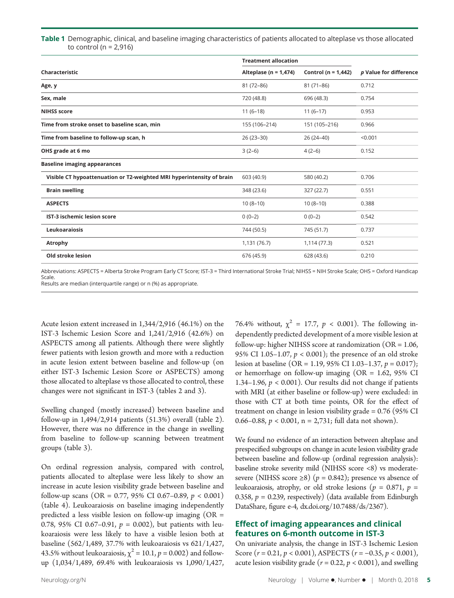#### Table 1 Demographic, clinical, and baseline imaging characteristics of patients allocated to alteplase vs those allocated to control ( $n = 2.916$ )

|                                                                       | <b>Treatment allocation</b> |                         |                        |  |
|-----------------------------------------------------------------------|-----------------------------|-------------------------|------------------------|--|
| Characteristic                                                        | Alteplase ( $n = 1,474$ )   | Control ( $n = 1,442$ ) | p Value for difference |  |
| Age, y                                                                | 81 (72-86)                  | $81(71-86)$             | 0.712                  |  |
| Sex, male                                                             | 720 (48.8)                  | 696 (48.3)              | 0.754                  |  |
| <b>NIHSS score</b>                                                    | $11(6-18)$                  | $11(6-17)$              | 0.953                  |  |
| Time from stroke onset to baseline scan, min                          | 155 (106-214)               | 151 (105-216)           | 0.966                  |  |
| Time from baseline to follow-up scan, h                               | $26(23-30)$                 | $26(24-40)$             | < 0.001                |  |
| OHS grade at 6 mo                                                     | $3(2-6)$                    | $4(2-6)$                | 0.152                  |  |
| <b>Baseline imaging appearances</b>                                   |                             |                         |                        |  |
| Visible CT hypoattenuation or T2-weighted MRI hyperintensity of brain | 603 (40.9)                  | 580 (40.2)              | 0.706                  |  |
| <b>Brain swelling</b>                                                 | 348 (23.6)                  | 327 (22.7)              | 0.551                  |  |
| <b>ASPECTS</b>                                                        | $10(8-10)$                  | $10(8-10)$              | 0.388                  |  |
| IST-3 ischemic lesion score                                           | $0(0-2)$                    | $0(0-2)$                | 0.542                  |  |
| Leukoaraiosis                                                         | 744 (50.5)                  | 745 (51.7)              | 0.737                  |  |
| <b>Atrophy</b>                                                        | 1,131 (76.7)                | 1,114 (77.3)            | 0.521                  |  |
| <b>Old stroke lesion</b>                                              | 676 (45.9)                  | 628 (43.6)              | 0.210                  |  |

Abbreviations: ASPECTS = Alberta Stroke Program Early CT Score; IST-3 = Third International Stroke Trial; NIHSS = NIH Stroke Scale; OHS = Oxford Handicap Scale. Results are median (interquartile range) or n (%) as appropriate.

Acute lesion extent increased in 1,344/2,916 (46.1%) on the IST-3 Ischemic Lesion Score and 1,241/2,916 (42.6%) on ASPECTS among all patients. Although there were slightly fewer patients with lesion growth and more with a reduction in acute lesion extent between baseline and follow-up (on either IST-3 Ischemic Lesion Score or ASPECTS) among those allocated to alteplase vs those allocated to control, these changes were not significant in IST-3 (tables 2 and 3).

Swelling changed (mostly increased) between baseline and follow-up in 1,494/2,914 patients (51.3%) overall (table 2). However, there was no difference in the change in swelling from baseline to follow-up scanning between treatment groups (table 3).

On ordinal regression analysis, compared with control, patients allocated to alteplase were less likely to show an increase in acute lesion visibility grade between baseline and follow-up scans (OR = 0.77, 95% CI 0.67–0.89,  $p < 0.001$ ) (table 4). Leukoaraiosis on baseline imaging independently predicted a less visible lesion on follow-up imaging (OR = 0.78, 95% CI 0.67-0.91,  $p = 0.002$ ), but patients with leukoaraiosis were less likely to have a visible lesion both at baseline (562/1,489, 37.7% with leukoaraiosis vs 621/1,427, 43.5% without leukoaraiosis,  $\chi^2$  = 10.1,  $p$  = 0.002) and followup (1,034/1,489, 69.4% with leukoaraiosis vs 1,090/1,427,

dependently predicted development of a more visible lesion at follow-up: higher NIHSS score at randomization (OR = 1.06, 95% CI 1.05–1.07,  $p < 0.001$ ); the presence of an old stroke lesion at baseline (OR = 1.19, 95% CI 1.03–1.37,  $p = 0.017$ ); or hemorrhage on follow-up imaging (OR = 1.62, 95% CI 1.34–1.96,  $p < 0.001$ ). Our results did not change if patients with MRI (at either baseline or follow-up) were excluded: in those with CT at both time points, OR for the effect of treatment on change in lesion visibility grade = 0.76 (95% CI 0.66–0.88,  $p < 0.001$ , n = 2,731; full data not shown).

76.4% without,  $\chi^2 = 17.7$ ,  $p < 0.001$ ). The following in-

We found no evidence of an interaction between alteplase and prespecified subgroups on change in acute lesion visibility grade between baseline and follow-up (ordinal regression analysis): baseline stroke severity mild (NIHSS score <8) vs moderatesevere (NIHSS score  $\geq$ 8) (p = 0.842); presence vs absence of leukoaraiosis, atrophy, or old stroke lesions ( $p = 0.871$ ,  $p =$ 0.358,  $p = 0.239$ , respectively) (data available from Edinburgh DataShare, figure e-4, [dx.doi.org/10.7488/ds/2367\)](http://dx.doi.org/10.7488/ds/2367).

# Effect of imaging appearances and clinical features on 6-month outcome in IST-3

On univariate analysis, the change in IST-3 Ischemic Lesion Score  $(r = 0.21, p < 0.001)$ , ASPECTS  $(r = -0.35, p < 0.001)$ , acute lesion visibility grade ( $r = 0.22$ ,  $p < 0.001$ ), and swelling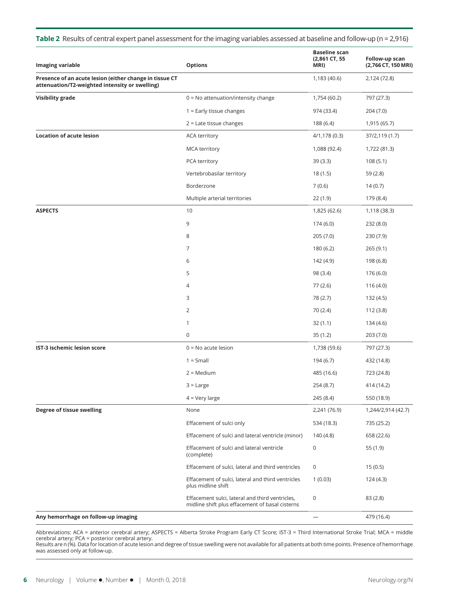|  |  |  | Table 2 Results of central expert panel assessment for the imaging variables assessed at baseline and follow-up (n = 2,916) |  |
|--|--|--|-----------------------------------------------------------------------------------------------------------------------------|--|
|--|--|--|-----------------------------------------------------------------------------------------------------------------------------|--|

| <b>Imaging variable</b>                                                                                   | <b>Options</b>                                                                                     | <b>Baseline scan</b><br>(2,861 CT, 55<br>MRI) | Follow-up scan<br>(2,766 CT, 150 MRI) |
|-----------------------------------------------------------------------------------------------------------|----------------------------------------------------------------------------------------------------|-----------------------------------------------|---------------------------------------|
| Presence of an acute lesion (either change in tissue CT<br>attenuation/T2-weighted intensity or swelling) |                                                                                                    | 1,183 (40.6)                                  | 2,124 (72.8)                          |
| <b>Visibility grade</b>                                                                                   | $0 = No$ attenuation/intensity change                                                              | 1,754 (60.2)                                  | 797 (27.3)                            |
|                                                                                                           | $1 =$ Early tissue changes                                                                         | 974 (33.4)                                    | 204 (7.0)                             |
|                                                                                                           | $2$ = Late tissue changes                                                                          | 188 (6.4)                                     | 1,915 (65.7)                          |
| <b>Location of acute lesion</b>                                                                           | <b>ACA territory</b>                                                                               | 4/1,178 (0.3)                                 | 37/2,119 (1.7)                        |
|                                                                                                           | <b>MCA territory</b>                                                                               | 1,088 (92.4)                                  | 1,722 (81.3)                          |
|                                                                                                           | PCA territory                                                                                      | 39 (3.3)                                      | 108(5.1)                              |
|                                                                                                           | Vertebrobasilar territory                                                                          | 18(1.5)                                       | 59 (2.8)                              |
|                                                                                                           | Borderzone                                                                                         | 7(0.6)                                        | 14(0.7)                               |
|                                                                                                           | Multiple arterial territories                                                                      | 22(1.9)                                       | 179 (8.4)                             |
| <b>ASPECTS</b>                                                                                            | 10                                                                                                 | 1,825 (62.6)                                  | 1,118 (38.3)                          |
|                                                                                                           | 9                                                                                                  | 174(6.0)                                      | 232 (8.0)                             |
|                                                                                                           | 8                                                                                                  | 205(7.0)                                      | 230 (7.9)                             |
|                                                                                                           | 7                                                                                                  | 180 (6.2)                                     | 265 (9.1)                             |
|                                                                                                           | 6                                                                                                  | 142 (4.9)                                     | 198 (6.8)                             |
|                                                                                                           | 5                                                                                                  | 98 (3.4)                                      | 176 (6.0)                             |
|                                                                                                           | 4                                                                                                  | 77 (2.6)                                      | 116(4.0)                              |
|                                                                                                           | 3                                                                                                  | 78 (2.7)                                      | 132 (4.5)                             |
|                                                                                                           | 2                                                                                                  | 70 (2.4)                                      | 112 (3.8)                             |
|                                                                                                           | 1                                                                                                  | 32(1.1)                                       | 134 (4.6)                             |
|                                                                                                           | 0                                                                                                  | 35(1.2)                                       | 203 (7.0)                             |
| <b>IST-3 ischemic lesion score</b>                                                                        | $0 = No$ acute lesion                                                                              | 1,738 (59.6)                                  | 797 (27.3)                            |
|                                                                                                           | $1 = Small$                                                                                        | 194 (6.7)                                     | 432 (14.8)                            |
|                                                                                                           | $2 = \text{Median}$                                                                                | 485 (16.6)                                    | 723 (24.8)                            |
|                                                                                                           | $3 =$ Large                                                                                        | 254 (8.7)                                     | 414 (14.2)                            |
|                                                                                                           | $4 = Very large$                                                                                   | 245 (8.4)                                     | 550 (18.9)                            |
| Degree of tissue swelling                                                                                 | None                                                                                               | 2,241 (76.9)                                  | 1,244/2,914 (42.7)                    |
|                                                                                                           | Effacement of sulci only                                                                           | 534 (18.3)                                    | 735 (25.2)                            |
|                                                                                                           | Effacement of sulci and lateral ventricle (minor)                                                  | 140 (4.8)                                     | 658 (22.6)                            |
|                                                                                                           | Effacement of sulci and lateral ventricle<br>(complete)                                            | 0                                             | 55 (1.9)                              |
|                                                                                                           | Effacement of sulci, lateral and third ventricles                                                  | 0                                             | 15(0.5)                               |
|                                                                                                           | Effacement of sulci, lateral and third ventricles<br>plus midline shift                            | 1(0.03)                                       | 124 (4.3)                             |
|                                                                                                           | Effacement sulci, lateral and third ventricles,<br>midline shift plus effacement of basal cisterns | 0                                             | 83(2.8)                               |
| Any hemorrhage on follow-up imaging                                                                       |                                                                                                    | $\overline{\phantom{0}}$                      | 479 (16.4)                            |

Abbreviations: ACA = anterior cerebral artery; ASPECTS = Alberta Stroke Program Early CT Score; IST-3 = Third International Stroke Trial; MCA = middle<br>cerebral artery; PCA = posterior cerebral artery.<br>Results are n (%). D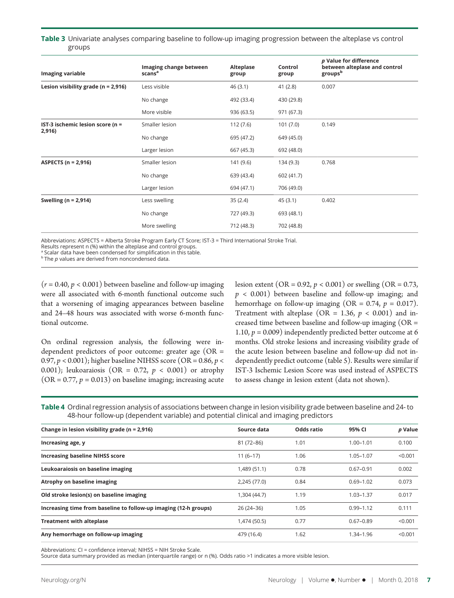Table 3 Univariate analyses comparing baseline to follow-up imaging progression between the alteplase vs control groups

| Imaging variable                           | Imaging change between<br>scans <sup>a</sup> | Alteplase<br>group | Control<br>group | p Value for difference<br>between alteplase and control<br>groupsb |
|--------------------------------------------|----------------------------------------------|--------------------|------------------|--------------------------------------------------------------------|
| Lesion visibility grade ( $n = 2,916$ )    | Less visible                                 | 46(3.1)            | 41(2.8)          | 0.007                                                              |
|                                            | No change                                    | 492 (33.4)         | 430 (29.8)       |                                                                    |
|                                            | More visible                                 | 936 (63.5)         | 971 (67.3)       |                                                                    |
| IST-3 ischemic lesion score (n =<br>2,916) | Smaller lesion                               | 112(7.6)           | 101(7.0)         | 0.149                                                              |
|                                            | No change                                    | 695 (47.2)         | 649 (45.0)       |                                                                    |
|                                            | Larger lesion                                | 667 (45.3)         | 692 (48.0)       |                                                                    |
| <b>ASPECTS (n = 2,916)</b>                 | Smaller lesion                               | 141 (9.6)          | 134 (9.3)        | 0.768                                                              |
|                                            | No change                                    | 639 (43.4)         | 602 (41.7)       |                                                                    |
|                                            | Larger lesion                                | 694 (47.1)         | 706 (49.0)       |                                                                    |
| Swelling ( $n = 2,914$ )                   | Less swelling                                | 35(2.4)            | 45(3.1)          | 0.402                                                              |
|                                            | No change                                    | 727 (49.3)         | 693 (48.1)       |                                                                    |
|                                            | More swelling                                | 712 (48.3)         | 702 (48.8)       |                                                                    |

Abbreviations: ASPECTS = Alberta Stroke Program Early CT Score; IST-3 = Third International Stroke Trial.

Results represent n (%) within the alteplase and control groups.

<sup>a</sup> Scalar data have been condensed for simplification in this table.

 $b$  The  $p$  values are derived from noncondensed data.

 $(r = 0.40, p < 0.001)$  between baseline and follow-up imaging were all associated with 6-month functional outcome such that a worsening of imaging appearances between baseline and 24–48 hours was associated with worse 6-month functional outcome.

On ordinal regression analysis, the following were independent predictors of poor outcome: greater age (OR = 0.97,  $p < 0.001$ ); higher baseline NIHSS score (OR = 0.86,  $p <$ 0.001); leukoaraiosis (OR = 0.72,  $p < 0.001$ ) or atrophy  $(OR = 0.77, p = 0.013)$  on baseline imaging; increasing acute lesion extent (OR = 0.92,  $p < 0.001$ ) or swelling (OR = 0.73,  $p < 0.001$ ) between baseline and follow-up imaging; and hemorrhage on follow-up imaging (OR =  $0.74$ ,  $p = 0.017$ ). Treatment with alteplase (OR = 1.36,  $p < 0.001$ ) and increased time between baseline and follow-up imaging (OR = 1.10,  $p = 0.009$ ) independently predicted better outcome at 6 months. Old stroke lesions and increasing visibility grade of the acute lesion between baseline and follow-up did not independently predict outcome (table 5). Results were similar if IST-3 Ischemic Lesion Score was used instead of ASPECTS to assess change in lesion extent (data not shown).

Table 4 Ordinal regression analysis of associations between change in lesion visibility grade between baseline and 24- to 48-hour follow-up (dependent variable) and potential clinical and imaging predictors

| Source data  | Odds ratio | 95% CI        | p Value |
|--------------|------------|---------------|---------|
| 81 (72-86)   | 1.01       | $1.00 - 1.01$ | 0.100   |
| $11(6-17)$   | 1.06       | $1.05 - 1.07$ | < 0.001 |
| 1,489 (51.1) | 0.78       | $0.67 - 0.91$ | 0.002   |
| 2,245 (77.0) | 0.84       | $0.69 - 1.02$ | 0.073   |
| 1,304 (44.7) | 1.19       | $1.03 - 1.37$ | 0.017   |
| 26 (24 - 36) | 1.05       | $0.99 - 1.12$ | 0.111   |
| 1,474 (50.5) | 0.77       | $0.67 - 0.89$ | < 0.001 |
| 479 (16.4)   | 1.62       | 1.34-1.96     | < 0.001 |
|              |            |               |         |

Abbreviations: CI = confidence interval; NIHSS = NIH Stroke Scale.

Source data summary provided as median (interquartile range) or n (%). Odds ratio >1 indicates a more visible lesion.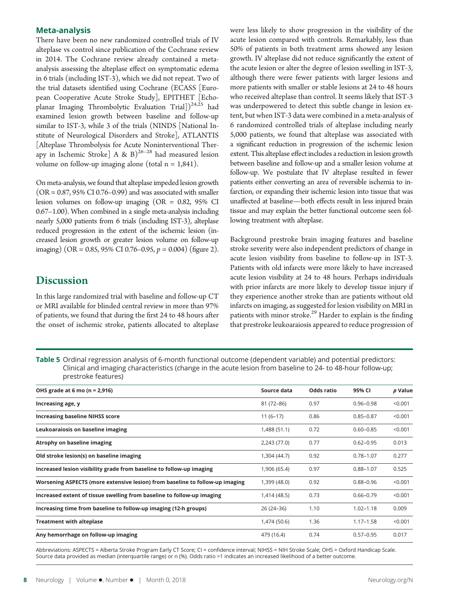#### Meta-analysis

There have been no new randomized controlled trials of IV alteplase vs control since publication of the Cochrane review in 2014. The Cochrane review already contained a metaanalysis assessing the alteplase effect on symptomatic edema in 6 trials (including IST-3), which we did not repeat. Two of the trial datasets identified using Cochrane (ECASS [European Cooperative Acute Stroke Study], EPITHET [Echoplanar Imaging Thrombolytic Evaluation Trial])<sup>24,25</sup> had examined lesion growth between baseline and follow-up similar to IST-3, while 3 of the trials (NINDS [National Institute of Neurological Disorders and Stroke], ATLANTIS [Alteplase Thrombolysis for Acute Noninterventional Therapy in Ischemic Stroke] A & B)<sup>26-28</sup> had measured lesion volume on follow-up imaging alone (total  $n = 1,841$ ).

On meta-analysis, we found that alteplase impeded lesion growth  $(OR = 0.87, 95\% \text{ CI } 0.76-0.99)$  and was associated with smaller lesion volumes on follow-up imaging (OR = 0.82, 95% CI 0.67–1.00). When combined in a single meta-analysis including nearly 5,000 patients from 6 trials (including IST-3), alteplase reduced progression in the extent of the ischemic lesion (increased lesion growth or greater lesion volume on follow-up imaging) (OR = 0.85, 95% CI 0.76–0.95,  $p = 0.004$ ) (figure 2).

# Discussion

In this large randomized trial with baseline and follow-up CT or MRI available for blinded central review in more than 97% of patients, we found that during the first 24 to 48 hours after the onset of ischemic stroke, patients allocated to alteplase

were less likely to show progression in the visibility of the acute lesion compared with controls. Remarkably, less than 50% of patients in both treatment arms showed any lesion growth. IV alteplase did not reduce significantly the extent of the acute lesion or alter the degree of lesion swelling in IST-3, although there were fewer patients with larger lesions and more patients with smaller or stable lesions at 24 to 48 hours who received alteplase than control. It seems likely that IST-3 was underpowered to detect this subtle change in lesion extent, but when IST-3 data were combined in a meta-analysis of 6 randomized controlled trials of alteplase including nearly 5,000 patients, we found that alteplase was associated with a significant reduction in progression of the ischemic lesion extent. This alteplase effect includes a reduction in lesion growth between baseline and follow-up and a smaller lesion volume at follow-up. We postulate that IV alteplase resulted in fewer patients either converting an area of reversible ischemia to infarction, or expanding their ischemic lesion into tissue that was unaffected at baseline—both effects result in less injured brain tissue and may explain the better functional outcome seen following treatment with alteplase.

Background prestroke brain imaging features and baseline stroke severity were also independent predictors of change in acute lesion visibility from baseline to follow-up in IST-3. Patients with old infarcts were more likely to have increased acute lesion visibility at 24 to 48 hours. Perhaps individuals with prior infarcts are more likely to develop tissue injury if they experience another stroke than are patients without old infarcts on imaging, as suggested for lesion visibility on MRI in patients with minor stroke.<sup>29</sup> Harder to explain is the finding that prestroke leukoaraiosis appeared to reduce progression of

Table 5 Ordinal regression analysis of 6-month functional outcome (dependent variable) and potential predictors: Clinical and imaging characteristics (change in the acute lesion from baseline to 24- to 48-hour follow-up; prestroke features)

| OHS grade at 6 mo ( $n = 2,916$ )                                            | Source data  | Odds ratio | 95% CI        | p Value |
|------------------------------------------------------------------------------|--------------|------------|---------------|---------|
| Increasing age, y                                                            | 81 (72-86)   | 0.97       | $0.96 - 0.98$ | < 0.001 |
| <b>Increasing baseline NIHSS score</b>                                       | $11(6-17)$   | 0.86       | $0.85 - 0.87$ | < 0.001 |
| Leukoaraiosis on baseline imaging                                            | 1,488 (51.1) | 0.72       | $0.60 - 0.85$ | < 0.001 |
| Atrophy on baseline imaging                                                  | 2,243 (77.0) | 0.77       | $0.62 - 0.95$ | 0.013   |
| Old stroke lesion(s) on baseline imaging                                     | 1,304 (44.7) | 0.92       | $0.78 - 1.07$ | 0.277   |
| Increased lesion visibility grade from baseline to follow-up imaging         | 1,906 (65.4) | 0.97       | $0.88 - 1.07$ | 0.525   |
| Worsening ASPECTS (more extensive lesion) from baseline to follow-up imaging | 1,399 (48.0) | 0.92       | $0.88 - 0.96$ | < 0.001 |
| Increased extent of tissue swelling from baseline to follow-up imaging       | 1,414 (48.5) | 0.73       | $0.66 - 0.79$ | < 0.001 |
| Increasing time from baseline to follow-up imaging (12-h groups)             | $26(24-36)$  | 1.10       | $1.02 - 1.18$ | 0.009   |
| <b>Treatment with alteplase</b>                                              | 1,474 (50.6) | 1.36       | $1.17 - 1.58$ | < 0.001 |
| Any hemorrhage on follow-up imaging                                          | 479 (16.4)   | 0.74       | $0.57 - 0.95$ | 0.017   |

Abbreviations: ASPECTS = Alberta Stroke Program Early CT Score; CI = confidence interval; NIHSS = NIH Stroke Scale; OHS = Oxford Handicap Scale. Source data provided as median (interquartile range) or n (%). Odds ratio >1 indicates an increased likelihood of a better outcome.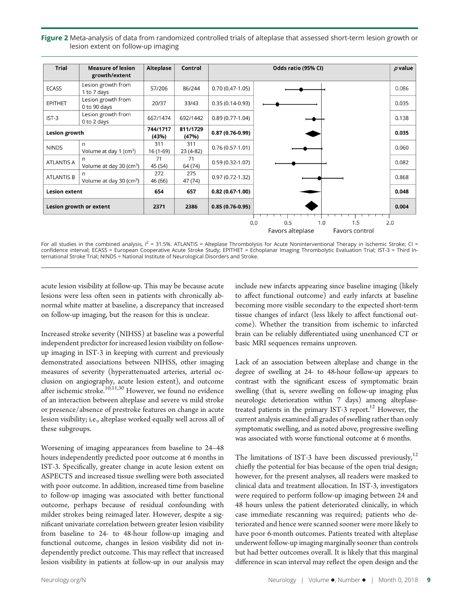Figure 2 Meta-analysis of data from randomized controlled trials of alteplase that assessed short-term lesion growth or lesion extent on follow-up imaging

| <b>Trial</b>         | <b>Measure of lesion</b>                 | Alteplase         | Control           |                     | Odds ratio (95% CI)                | $\rho$ value |
|----------------------|------------------------------------------|-------------------|-------------------|---------------------|------------------------------------|--------------|
|                      | growth/extent                            |                   |                   |                     |                                    |              |
| <b>ECASS</b>         | Lesion growth from<br>1 to 7 days        | 57/206            | 86/244            | $0.70(0.47-1.05)$   |                                    | 0.086        |
| <b>EPITHET</b>       | Lesion growth from<br>0 to 90 days       | 20/37             | 33/43             | $0.35(0.14-0.93)$   |                                    | 0.035        |
| IST-3                | Lesion growth from<br>0 to 2 days        | 667/1474          | 692/1442          | $0.89(0.77-1.04)$   |                                    | 0.138        |
| Lesion growth        |                                          | 744/1717<br>(43%) | 811/1729<br>(47%) | $0.87(0.76-0.99)$   |                                    | 0.035        |
| <b>NINDS</b>         | n<br>Volume at day 1 ( $cm3$ )           | 311<br>$16(1-69)$ | 311<br>$23(4-82)$ | $0.76(0.57-1.01)$   |                                    | 0.060        |
| <b>ATLANTIS A</b>    | n<br>Volume at day 30 (cm <sup>3</sup> ) | 71<br>45 (54)     | 71<br>64 (74)     | $0.59(0.32-1.07)$   |                                    | 0.082        |
| <b>ATLANTIS B</b>    | n<br>Volume at day 30 (cm <sup>3</sup> ) | 272<br>46 (66)    | 275<br>47 (74)    | $0.97(0.72 - 1.32)$ |                                    | 0.868        |
| <b>Lesion extent</b> |                                          | 654               | 657               | $0.82(0.67-1.00)$   |                                    | 0.048        |
|                      | Lesion growth or extent                  | 2371              | 2386              | $0.85(0.76-0.95)$   |                                    | 0.004        |
|                      |                                          |                   |                   | 0.0                 | 0.5<br>1.0<br>1.5<br>2.0           |              |
|                      |                                          |                   |                   |                     | Favors alteplase<br>Favors control |              |

For all studies in the combined analysis, I<sup>2</sup> = 31.5%. ATLANTIS = Alteplase Thrombolysis for Acute Noninterventional Therapy in Ischemic Stroke; CI =<br>confidence interval; ECASS = European Cooperative Acute Stroke Study; E ternational Stroke Trial; NINDS = National Institute of Neurological Disorders and Stroke.

acute lesion visibility at follow-up. This may be because acute lesions were less often seen in patients with chronically abnormal white matter at baseline, a discrepancy that increased on follow-up imaging, but the reason for this is unclear.

Increased stroke severity (NIHSS) at baseline was a powerful independent predictor for increased lesion visibility on followup imaging in IST-3 in keeping with current and previously demonstrated associations between NIHSS, other imaging measures of severity (hyperattenuated arteries, arterial occlusion on angiography, acute lesion extent), and outcome after ischemic stroke.<sup>10,11,30</sup> However, we found no evidence of an interaction between alteplase and severe vs mild stroke or presence/absence of prestroke features on change in acute lesion visibility; i.e., alteplase worked equally well across all of these subgroups.

Worsening of imaging appearances from baseline to 24–48 hours independently predicted poor outcome at 6 months in IST-3. Specifically, greater change in acute lesion extent on ASPECTS and increased tissue swelling were both associated with poor outcome. In addition, increased time from baseline to follow-up imaging was associated with better functional outcome, perhaps because of residual confounding with milder strokes being reimaged later. However, despite a significant univariate correlation between greater lesion visibility from baseline to 24- to 48-hour follow-up imaging and functional outcome, changes in lesion visibility did not independently predict outcome. This may reflect that increased lesion visibility in patients at follow-up in our analysis may

include new infarcts appearing since baseline imaging (likely to affect functional outcome) and early infarcts at baseline becoming more visible secondary to the expected short-term tissue changes of infarct (less likely to affect functional outcome). Whether the transition from ischemic to infarcted brain can be reliably differentiated using unenhanced CT or basic MRI sequences remains unproven.

Lack of an association between alteplase and change in the degree of swelling at 24- to 48-hour follow-up appears to contrast with the significant excess of symptomatic brain swelling (that is, severe swelling on follow-up imaging plus neurologic deterioration within 7 days) among alteplasetreated patients in the primary IST-3 report.<sup>12</sup> However, the current analysis examined all grades of swelling rather than only symptomatic swelling, and as noted above, progressive swelling was associated with worse functional outcome at 6 months.

The limitations of IST-3 have been discussed previously,<sup>12</sup> chiefly the potential for bias because of the open trial design; however, for the present analyses, all readers were masked to clinical data and treatment allocation. In IST-3, investigators were required to perform follow-up imaging between 24 and 48 hours unless the patient deteriorated clinically, in which case immediate rescanning was required; patients who deteriorated and hence were scanned sooner were more likely to have poor 6-month outcomes. Patients treated with alteplase underwent follow-up imaging marginally sooner than controls but had better outcomes overall. It is likely that this marginal difference in scan interval may reflect the open design and the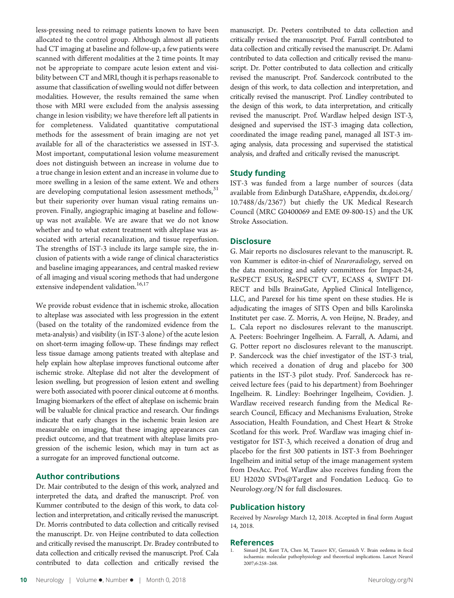less-pressing need to reimage patients known to have been allocated to the control group. Although almost all patients had CT imaging at baseline and follow-up, a few patients were scanned with different modalities at the 2 time points. It may not be appropriate to compare acute lesion extent and visibility between CT and MRI, though it is perhaps reasonable to assume that classification of swelling would not differ between modalities. However, the results remained the same when those with MRI were excluded from the analysis assessing change in lesion visibility; we have therefore left all patients in for completeness. Validated quantitative computational methods for the assessment of brain imaging are not yet available for all of the characteristics we assessed in IST-3. Most important, computational lesion volume measurement does not distinguish between an increase in volume due to a true change in lesion extent and an increase in volume due to more swelling in a lesion of the same extent. We and others are developing computational lesion assessment methods, $31$ but their superiority over human visual rating remains unproven. Finally, angiographic imaging at baseline and followup was not available. We are aware that we do not know whether and to what extent treatment with alteplase was associated with arterial recanalization, and tissue reperfusion. The strengths of IST-3 include its large sample size, the inclusion of patients with a wide range of clinical characteristics and baseline imaging appearances, and central masked review of all imaging and visual scoring methods that had undergone extensive independent validation.<sup>16,17</sup>

We provide robust evidence that in ischemic stroke, allocation to alteplase was associated with less progression in the extent (based on the totality of the randomized evidence from the meta-analysis) and visibility (in IST-3 alone) of the acute lesion on short-term imaging follow-up. These findings may reflect less tissue damage among patients treated with alteplase and help explain how alteplase improves functional outcome after ischemic stroke. Alteplase did not alter the development of lesion swelling, but progression of lesion extent and swelling were both associated with poorer clinical outcome at 6 months. Imaging biomarkers of the effect of alteplase on ischemic brain will be valuable for clinical practice and research. Our findings indicate that early changes in the ischemic brain lesion are measurable on imaging, that these imaging appearances can predict outcome, and that treatment with alteplase limits progression of the ischemic lesion, which may in turn act as a surrogate for an improved functional outcome.

#### Author contributions

Dr. Mair contributed to the design of this work, analyzed and interpreted the data, and drafted the manuscript. Prof. von Kummer contributed to the design of this work, to data collection and interpretation, and critically revised the manuscript. Dr. Morris contributed to data collection and critically revised the manuscript. Dr. von Heijne contributed to data collection and critically revised the manuscript. Dr. Bradey contributed to data collection and critically revised the manuscript. Prof. Cala contributed to data collection and critically revised the

manuscript. Dr. Peeters contributed to data collection and critically revised the manuscript. Prof. Farrall contributed to data collection and critically revised the manuscript. Dr. Adami contributed to data collection and critically revised the manuscript. Dr. Potter contributed to data collection and critically revised the manuscript. Prof. Sandercock contributed to the design of this work, to data collection and interpretation, and critically revised the manuscript. Prof. Lindley contributed to the design of this work, to data interpretation, and critically revised the manuscript. Prof. Wardlaw helped design IST-3, designed and supervised the IST-3 imaging data collection, coordinated the image reading panel, managed all IST-3 imaging analysis, data processing and supervised the statistical analysis, and drafted and critically revised the manuscript.

#### Study funding

IST-3 was funded from a large number of sources (data available from Edinburgh DataShare, eAppendix, [dx.doi.org/](http://dx.doi.org/10.7488/ds/2367) [10.7488/ds/2367](http://dx.doi.org/10.7488/ds/2367)) but chiefly the UK Medical Research Council (MRC G0400069 and EME 09-800-15) and the UK Stroke Association.

#### **Disclosure**

G. Mair reports no disclosures relevant to the manuscript. R. von Kummer is editor-in-chief of Neuroradiology, served on the data monitoring and safety committees for Impact-24, ReSPECT ESUS, ReSPECT CVT, ECASS 4, SWIFT DI-RECT and bills BrainsGate, Applied Clinical Intelligence, LLC, and Parexel for his time spent on these studies. He is adjudicating the images of SITS Open and bills Karolinska Institutet per case. Z. Morris, A. von Heijne, N. Bradey, and L. Cala report no disclosures relevant to the manuscript. A. Peeters: Boehringer Ingelheim. A. Farrall, A. Adami, and G. Potter report no disclosures relevant to the manuscript. P. Sandercock was the chief investigator of the IST-3 trial, which received a donation of drug and placebo for 300 patients in the IST-3 pilot study. Prof. Sandercock has received lecture fees (paid to his department) from Boehringer Ingelheim. R. Lindley: Boehringer Ingelheim, Covidien. J. Wardlaw received research funding from the Medical Research Council, Efficacy and Mechanisms Evaluation, Stroke Association, Health Foundation, and Chest Heart & Stroke Scotland for this work. Prof. Wardlaw was imaging chief investigator for IST-3, which received a donation of drug and placebo for the first 300 patients in IST-3 from Boehringer Ingelheim and initial setup of the image management system from DesAcc. Prof. Wardlaw also receives funding from the EU H2020 SVDs@Target and Fondation Leducq. Go to [Neurology.org/N](http://n.neurology.org/lookup/doi/10.1212/WNL.0000000000006575) for full disclosures.

#### Publication history

Received by Neurology March 12, 2018. Accepted in final form August 14, 2018.

#### References

Simard JM, Kent TA, Chen M, Tarasov KV, Gerzanich V. Brain oedema in focal ischaemia: molecular pathophysiology and theoretical implications. Lancet Neurol 2007;6:258–268.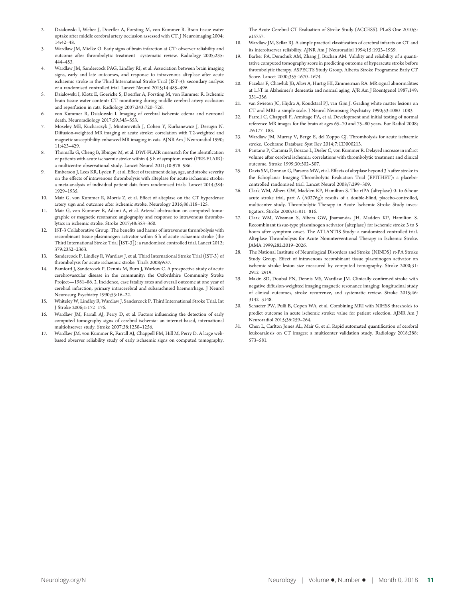- 2. Dzialowski I, Weber J, Doerfler A, Forsting M, von Kummer R. Brain tissue water uptake after middle cerebral artery occlusion assessed with CT. J Neuroimaging 2004; 14:42–48.
- 3. Wardlaw JM, Mielke O. Early signs of brain infarction at CT: observer reliability and outcome after thrombolytic treatment—systematic review. Radiology 2005;235: 444–453.
- 4. Wardlaw JM, Sandercock PAG, Lindley RI, et al. Association between brain imaging signs, early and late outcomes, and response to intravenous alteplase after acute ischaemic stroke in the Third International Stroke Trial (IST-3): secondary analysis of a randomised controlled trial. Lancet Neurol 2015;14:485–496.
- 5. Dzialowski I, Klotz E, Goericke S, Doerfler A, Forsting M, von Kummer R. Ischemic brain tissue water content: CT monitoring during middle cerebral artery occlusion and reperfusion in rats. Radiology 2007;243:720–726.
- 6. von Kummer R, Dzialowski I. Imaging of cerebral ischemic edema and neuronal death. Neuroradiology 2017;59:545–553.
- 7. Moseley ME, Kucharczyk J, Mintorovitch J, Cohen Y, Kurhanewicz J, Derugin N. Diffusion-weighted MR imaging of acute stroke: correlation with T2-weighted and magnetic susceptibility-enhanced MR imaging in cats. AJNR Am J Neuroradiol 1990; 11:423–429.
- 8. Thomalla G, Cheng B, Ebinger M, et al. DWI-FLAIR mismatch for the identification of patients with acute ischaemic stroke within 4.5 h of symptom onset (PRE-FLAIR): a multicentre observational study. Lancet Neurol 2011;10:978–986.
- 9. Emberson J, Lees KR, Lyden P, et al. Effect of treatment delay, age, and stroke severity on the effects of intravenous thrombolysis with alteplase for acute ischaemic stroke: a meta-analysis of individual patient data from randomised trials. Lancet 2014;384: 1929–1935.
- 10. Mair G, von Kummer R, Morris Z, et al. Effect of alteplase on the CT hyperdense artery sign and outcome after ischemic stroke. Neurology 2016;86:118–125.
- 11. Mair G, von Kummer R, Adami A, et al. Arterial obstruction on computed tomographic or magnetic resonance angiography and response to intravenous thrombolytics in ischemic stroke. Stroke 2017;48:353–360.
- 12. IST-3 Collaborative Group. The benefits and harms of intravenous thrombolysis with recombinant tissue plasminogen activator within 6 h of acute ischaemic stroke (the Third International Stroke Trial [IST-3]): a randomised controlled trial. Lancet 2012; 379:2352–2363.
- 13. Sandercock P, Lindley R, Wardlaw J, et al. Third International Stroke Trial (IST-3) of thrombolysis for acute ischaemic stroke. Trials 2008;9:37.
- Bamford J, Sandercock P, Dennis M, Burn J, Warlow C. A prospective study of acute cerebrovascular disease in the community: the Oxfordshire Community Stroke Project—1981–86. 2. Incidence, case fatality rates and overall outcome at one year of cerebral infarction, primary intracerebral and subarachnoid haemorrhage. J Neurol Neurosurg Psychiatry 1990;53:16–22.
- 15. Whiteley W, Lindley R, Wardlaw J, Sandercock P. Third International Stroke Trial. Int J Stroke 2006;1:172–176.
- 16. Wardlaw JM, Farrall AJ, Perry D, et al. Factors influencing the detection of early computed tomography signs of cerebral ischemia: an internet-based, international multiobserver study. Stroke 2007;38:1250–1256.
- 17. Wardlaw JM, von Kummer R, Farrall AJ, Chappell FM, Hill M, Perry D. A large webbased observer reliability study of early ischaemic signs on computed tomography.

The Acute Cerebral CT Evaluation of Stroke Study (ACCESS). PLoS One 2010;5: e15757.

- 18. Wardlaw JM, Sellar RJ. A simple practical classification of cerebral infarcts on CT and its interobserver reliability. AJNR Am J Neuroradiol 1994;15:1933–1939.
- 19. Barber PA, Demchuk AM, Zhang J, Buchan AM. Validity and reliability of a quantitative computed tomography score in predicting outcome of hyperacute stroke before thrombolytic therapy. ASPECTS Study Group. Alberta Stroke Programme Early CT Score. Lancet 2000;355:1670–1674.
- 20. Fazekas F, Chawluk JB, Alavi A, Hurtig HI, Zimmerman RA. MR signal abnormalities at 1.5T in Alzheimer's dementia and normal aging. AJR Am J Roentgenol 1987;149: 351–356.
- 21. van Swieten JC, Hijdra A, Koudstaal PJ, van Gijn J. Grading white matter lesions on CT and MRI: a simple scale. J Neurol Neurosurg Psychiatry 1990;53:1080–1083.
- 22. Farrell C, Chappell F, Armitage PA, et al. Development and initial testing of normal reference MR images for the brain at ages 65–70 and 75–80 years. Eur Radiol 2008; 19:177–183.
- 23. Wardlaw JM, Murray V, Berge E, del Zoppo GJ. Thrombolysis for acute ischaemic stroke. Cochrane Database Syst Rev 2014;7:CD000213.
- 24. Pantano P, Caramia F, Bozzao L, Dieler C, von Kummer R. Delayed increase in infarct volume after cerebral ischemia: correlations with thrombolytic treatment and clinical outcome. Stroke 1999;30:502–507.
- Davis SM, Donnan G, Parsons MW, et al. Effects of alteplase beyond 3 h after stroke in the Echoplanar Imaging Thrombolytic Evaluation Trial (EPITHET): a placebocontrolled randomised trial. Lancet Neurol 2008;7:299–309.
- 26. Clark WM, Albers GW, Madden KP, Hamilton S. The rtPA (alteplase) 0- to 6-hour acute stroke trial, part A (A0276g): results of a double-blind, placebo-controlled, multicenter study. Thrombolytic Therapy in Acute Ischemic Stroke Study investigators. Stroke 2000;31:811–816.
- 27. Clark WM, Wissman S, Albers GW, Jhamandas JH, Madden KP, Hamilton S. Recombinant tissue-type plasminogen activator (alteplase) for ischemic stroke 3 to 5 hours after symptom onset. The ATLANTIS Study: a randomized controlled trial. Alteplase Thrombolysis for Acute Noninterventional Therapy in Ischemic Stroke. JAMA 1999;282:2019–2026.
- 28. The National Institute of Neurological Disorders and Stroke (NINDS) rt-PA Stroke Study Group. Effect of intravenous recombinant tissue plasminogen activator on ischemic stroke lesion size measured by computed tomography. Stroke 2000;31: 2912–2919.
- 29. Makin SD, Doubal FN, Dennis MS, Wardlaw JM. Clinically confirmed stroke with negative diffusion-weighted imaging magnetic resonance imaging: longitudinal study of clinical outcomes, stroke recurrence, and systematic review. Stroke 2015;46: 3142–3148.
- 30. Schaefer PW, Pulli B, Copen WA, et al. Combining MRI with NIHSS thresholds to predict outcome in acute ischemic stroke: value for patient selection. AJNR Am J Neuroradiol 2015;36:259–264.
- 31. Chen L, Carlton Jones AL, Mair G, et al. Rapid automated quantification of cerebral leukoaraiosis on CT images: a multicenter validation study. Radiology 2018;288: 573–581.